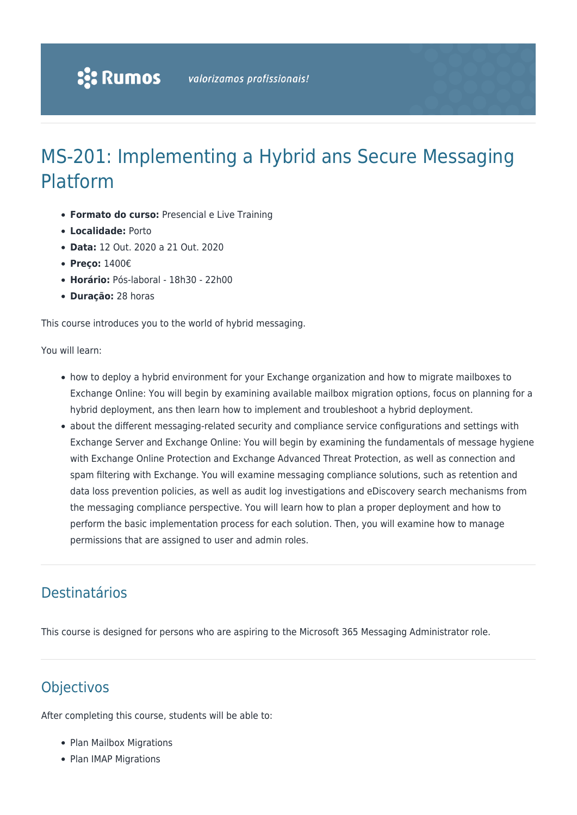# MS-201: Implementing a Hybrid ans Secure Messaging Platform

- **Formato do curso:** Presencial e Live Training
- **Localidade:** Porto
- **Data:** 12 Out. 2020 a 21 Out. 2020
- **Preço:** 1400€
- **Horário:** Pós-laboral 18h30 22h00
- **Duração:** 28 horas

This course introduces you to the world of hybrid messaging.

You will learn:

- how to deploy a hybrid environment for your Exchange organization and how to migrate mailboxes to Exchange Online: You will begin by examining available mailbox migration options, focus on planning for a hybrid deployment, ans then learn how to implement and troubleshoot a hybrid deployment.
- about the different messaging-related security and compliance service configurations and settings with Exchange Server and Exchange Online: You will begin by examining the fundamentals of message hygiene with Exchange Online Protection and Exchange Advanced Threat Protection, as well as connection and spam filtering with Exchange. You will examine messaging compliance solutions, such as retention and data loss prevention policies, as well as audit log investigations and eDiscovery search mechanisms from the messaging compliance perspective. You will learn how to plan a proper deployment and how to perform the basic implementation process for each solution. Then, you will examine how to manage permissions that are assigned to user and admin roles.

### Destinatários

This course is designed for persons who are aspiring to the Microsoft 365 Messaging Administrator role.

## **Objectivos**

After completing this course, students will be able to:

- Plan Mailbox Migrations
- Plan IMAP Migrations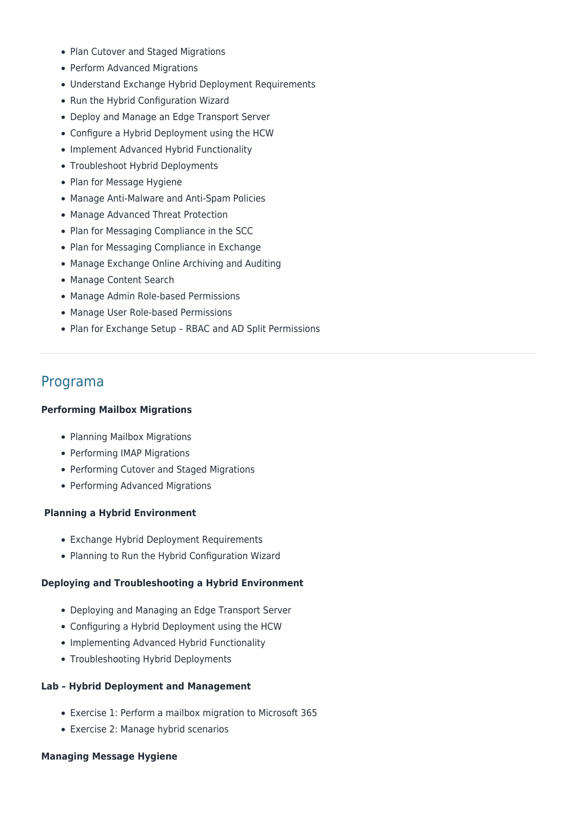- Plan Cutover and Staged Migrations
- Perform Advanced Migrations
- Understand Exchange Hybrid Deployment Requirements
- Run the Hybrid Configuration Wizard
- Deploy and Manage an Edge Transport Server
- Configure a Hybrid Deployment using the HCW
- Implement Advanced Hybrid Functionality
- Troubleshoot Hybrid Deployments
- Plan for Message Hygiene
- Manage Anti-Malware and Anti-Spam Policies
- Manage Advanced Threat Protection
- Plan for Messaging Compliance in the SCC
- Plan for Messaging Compliance in Exchange
- Manage Exchange Online Archiving and Auditing
- Manage Content Search
- Manage Admin Role-based Permissions
- Manage User Role-based Permissions
- Plan for Exchange Setup RBAC and AD Split Permissions

### Programa

#### **Performing Mailbox Migrations**

- Planning Mailbox Migrations
- Performing IMAP Migrations
- Performing Cutover and Staged Migrations
- Performing Advanced Migrations

#### **Planning a Hybrid Environment**

- Exchange Hybrid Deployment Requirements
- Planning to Run the Hybrid Configuration Wizard

#### **Deploying and Troubleshooting a Hybrid Environment**

- Deploying and Managing an Edge Transport Server
- Configuring a Hybrid Deployment using the HCW
- Implementing Advanced Hybrid Functionality
- Troubleshooting Hybrid Deployments

#### **Lab – Hybrid Deployment and Management**

- Exercise 1: Perform a mailbox migration to Microsoft 365
- Exercise 2: Manage hybrid scenarios

#### **Managing Message Hygiene**